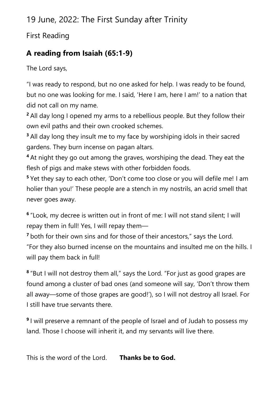19 June, 2022: The First Sunday after Trinity

First Reading

## **A reading from Isaiah (65:1-9)**

The Lord says,

"I was ready to respond, but no one asked for help. I was ready to be found, but no one was looking for me. I said, 'Here I am, here I am!' to a nation that did not call on my name.

**<sup>2</sup>** All day long I opened my arms to a rebellious people. But they follow their own evil paths and their own crooked schemes.

**<sup>3</sup>** All day long they insult me to my face by worshiping idols in their sacred gardens. They burn incense on pagan altars.

**<sup>4</sup>** At night they go out among the graves, worshiping the dead. They eat the flesh of pigs and make stews with other forbidden foods.

**<sup>5</sup>** Yet they say to each other, 'Don't come too close or you will defile me! I am holier than you!' These people are a stench in my nostrils, an acrid smell that never goes away.

**6** "Look, my decree is written out in front of me: I will not stand silent; I will repay them in full! Yes, I will repay them—

**<sup>7</sup>** both for their own sins and for those of their ancestors," says the Lord. "For they also burned incense on the mountains and insulted me on the hills. I will pay them back in full!

**8** "But I will not destroy them all," says the Lord. "For just as good grapes are found among a cluster of bad ones (and someone will say, 'Don't throw them all away—some of those grapes are good!'), so I will not destroy all Israel. For I still have true servants there.

**9** I will preserve a remnant of the people of Israel and of Judah to possess my land. Those I choose will inherit it, and my servants will live there.

This is the word of the Lord. **Thanks be to God.**